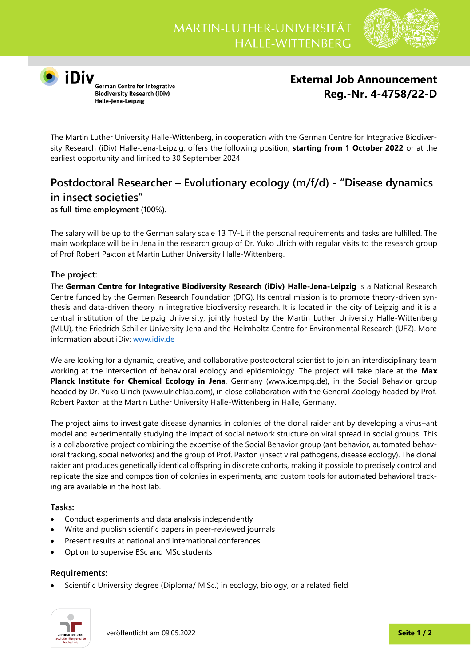

**O**<br> **iDIV**<br>
German Centre for Integrative<br>
Biodiversity Research (iDiv) Halle-Jena-Leipzig

# **External Job Announcement Reg.-Nr. 4-4758/22-D**

The Martin Luther University Halle-Wittenberg, in cooperation with the German Centre for Integrative Biodiversity Research (iDiv) Halle-Jena-Leipzig, offers the following position, **starting from 1 October 2022** or at the earliest opportunity and limited to 30 September 2024:

## **Postdoctoral Researcher – Evolutionary ecology (m/f/d) - "Disease dynamics in insect societies"**

**as full-time employment (100%).**

The salary will be up to the German salary scale 13 TV-L if the personal requirements and tasks are fulfilled. The main workplace will be in Jena in the research group of Dr. Yuko Ulrich with regular visits to the research group of Prof Robert Paxton at Martin Luther University Halle-Wittenberg.

## **The project:**

The **German Centre for Integrative Biodiversity Research (iDiv) Halle-Jena-Leipzig** is a National Research Centre funded by the German Research Foundation (DFG). Its central mission is to promote theory-driven synthesis and data-driven theory in integrative biodiversity research. It is located in the city of Leipzig and it is a central institution of the Leipzig University, jointly hosted by the Martin Luther University Halle-Wittenberg (MLU), the Friedrich Schiller University Jena and the Helmholtz Centre for Environmental Research (UFZ). More information about iDiv: [www.idiv.de](http://www.idiv.de/)

We are looking for a dynamic, creative, and collaborative postdoctoral scientist to join an interdisciplinary team working at the intersection of behavioral ecology and epidemiology. The project will take place at the **Max Planck Institute for Chemical Ecology in Jena**, Germany (www.ice.mpg.de), in the Social Behavior group headed by Dr. Yuko Ulrich (www.ulrichlab.com), in close collaboration with the General Zoology headed by Prof. Robert Paxton at the Martin Luther University Halle-Wittenberg in Halle, Germany.

The project aims to investigate disease dynamics in colonies of the clonal raider ant by developing a virus–ant model and experimentally studying the impact of social network structure on viral spread in social groups. This is a collaborative project combining the expertise of the Social Behavior group (ant behavior, automated behavioral tracking, social networks) and the group of Prof. Paxton (insect viral pathogens, disease ecology). The clonal raider ant produces genetically identical offspring in discrete cohorts, making it possible to precisely control and replicate the size and composition of colonies in experiments, and custom tools for automated behavioral tracking are available in the host lab.

### **Tasks:**

- Conduct experiments and data analysis independently
- Write and publish scientific papers in peer-reviewed journals
- Present results at national and international conferences
- Option to supervise BSc and MSc students

### **Requirements:**

• Scientific University degree (Diploma/ M.Sc.) in ecology, biology, or a related field